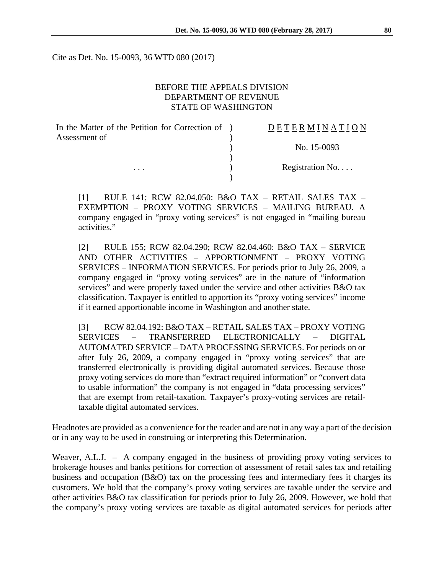Cite as Det. No. 15-0093, 36 WTD 080 (2017)

#### BEFORE THE APPEALS DIVISION DEPARTMENT OF REVENUE STATE OF WASHINGTON

| In the Matter of the Petition for Correction of | DETERMINATION   |
|-------------------------------------------------|-----------------|
| Assessment of                                   |                 |
|                                                 | No. 15-0093     |
|                                                 |                 |
| $\cdots$                                        | Registration No |
|                                                 |                 |

[1] RULE 141; RCW 82.04.050: B&O TAX – RETAIL SALES TAX – EXEMPTION – PROXY VOTING SERVICES – MAILING BUREAU. A company engaged in "proxy voting services" is not engaged in "mailing bureau activities."

[2] RULE 155; RCW 82.04.290; RCW 82.04.460: B&O TAX – SERVICE AND OTHER ACTIVITIES – APPORTIONMENT – PROXY VOTING SERVICES – INFORMATION SERVICES. For periods prior to July 26, 2009, a company engaged in "proxy voting services" are in the nature of "information services" and were properly taxed under the service and other activities B&O tax classification. Taxpayer is entitled to apportion its "proxy voting services" income if it earned apportionable income in Washington and another state.

[3] RCW 82.04.192: B&O TAX – RETAIL SALES TAX – PROXY VOTING SERVICES – TRANSFERRED ELECTRONICALLY – DIGITAL AUTOMATED SERVICE – DATA PROCESSING SERVICES. For periods on or after July 26, 2009, a company engaged in "proxy voting services" that are transferred electronically is providing digital automated services. Because those proxy voting services do more than "extract required information" or "convert data to usable information" the company is not engaged in "data processing services" that are exempt from retail-taxation. Taxpayer's proxy-voting services are retailtaxable digital automated services.

Headnotes are provided as a convenience for the reader and are not in any way a part of the decision or in any way to be used in construing or interpreting this Determination.

Weaver, A.L.J. – A company engaged in the business of providing proxy voting services to brokerage houses and banks petitions for correction of assessment of retail sales tax and retailing business and occupation (B&O) tax on the processing fees and intermediary fees it charges its customers. We hold that the company's proxy voting services are taxable under the service and other activities B&O tax classification for periods prior to July 26, 2009. However, we hold that the company's proxy voting services are taxable as digital automated services for periods after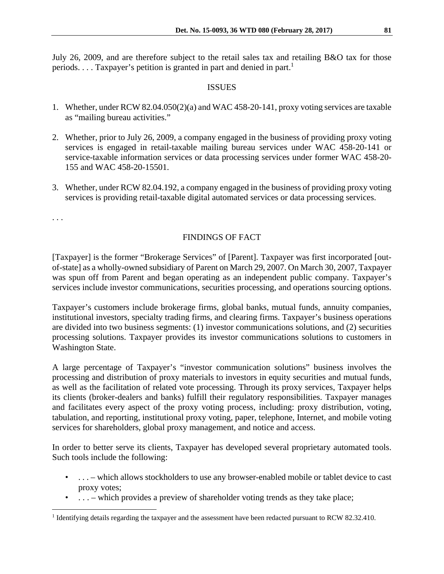July 26, 2009, and are therefore subject to the retail sales tax and retailing B&O tax for those periods.  $\dots$  Taxpayer's petition is granted in part and denied in part.<sup>1</sup>

#### ISSUES

- 1. Whether, under RCW 82.04.050(2)(a) and WAC 458-20-141, proxy voting services are taxable as "mailing bureau activities."
- 2. Whether, prior to July 26, 2009, a company engaged in the business of providing proxy voting services is engaged in retail-taxable mailing bureau services under WAC 458-20-141 or service-taxable information services or data processing services under former WAC 458-20- 155 and WAC 458-20-15501.
- 3. Whether, under RCW 82.04.192, a company engaged in the business of providing proxy voting services is providing retail-taxable digital automated services or data processing services.

. . .

# FINDINGS OF FACT

[Taxpayer] is the former "Brokerage Services" of [Parent]. Taxpayer was first incorporated [outof-state] as a wholly-owned subsidiary of Parent on March 29, 2007. On March 30, 2007, Taxpayer was spun off from Parent and began operating as an independent public company. Taxpayer's services include investor communications, securities processing, and operations sourcing options.

Taxpayer's customers include brokerage firms, global banks, mutual funds, annuity companies, institutional investors, specialty trading firms, and clearing firms. Taxpayer's business operations are divided into two business segments: (1) investor communications solutions, and (2) securities processing solutions. Taxpayer provides its investor communications solutions to customers in Washington State.

A large percentage of Taxpayer's "investor communication solutions" business involves the processing and distribution of proxy materials to investors in equity securities and mutual funds, as well as the facilitation of related vote processing. Through its proxy services, Taxpayer helps its clients (broker-dealers and banks) fulfill their regulatory responsibilities. Taxpayer manages and facilitates every aspect of the proxy voting process, including: proxy distribution, voting, tabulation, and reporting, institutional proxy voting, paper, telephone, Internet, and mobile voting services for shareholders, global proxy management, and notice and access.

In order to better serve its clients, Taxpayer has developed several proprietary automated tools. Such tools include the following:

- . . . which allows stockholders to use any browser-enabled mobile or tablet device to cast proxy votes;
- ... which provides a preview of shareholder voting trends as they take place;

<sup>&</sup>lt;sup>1</sup> Identifying details regarding the taxpayer and the assessment have been redacted pursuant to RCW 82.32.410.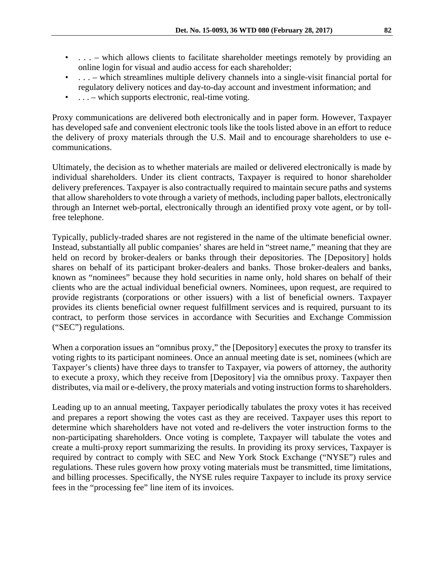- ... which allows clients to facilitate shareholder meetings remotely by providing an online login for visual and audio access for each shareholder;
- ... which streamlines multiple delivery channels into a single-visit financial portal for regulatory delivery notices and day-to-day account and investment information; and
- $\ldots$  which supports electronic, real-time voting.

Proxy communications are delivered both electronically and in paper form. However, Taxpayer has developed safe and convenient electronic tools like the tools listed above in an effort to reduce the delivery of proxy materials through the U.S. Mail and to encourage shareholders to use ecommunications.

Ultimately, the decision as to whether materials are mailed or delivered electronically is made by individual shareholders. Under its client contracts, Taxpayer is required to honor shareholder delivery preferences. Taxpayer is also contractually required to maintain secure paths and systems that allow shareholders to vote through a variety of methods, including paper ballots, electronically through an Internet web-portal, electronically through an identified proxy vote agent, or by tollfree telephone.

Typically, publicly-traded shares are not registered in the name of the ultimate beneficial owner. Instead, substantially all public companies' shares are held in "street name," meaning that they are held on record by broker-dealers or banks through their depositories. The [Depository] holds shares on behalf of its participant broker-dealers and banks. Those broker-dealers and banks, known as "nominees" because they hold securities in name only, hold shares on behalf of their clients who are the actual individual beneficial owners. Nominees, upon request, are required to provide registrants (corporations or other issuers) with a list of beneficial owners. Taxpayer provides its clients beneficial owner request fulfillment services and is required, pursuant to its contract, to perform those services in accordance with Securities and Exchange Commission ("SEC") regulations.

When a corporation issues an "omnibus proxy," the [Depository] executes the proxy to transfer its voting rights to its participant nominees. Once an annual meeting date is set, nominees (which are Taxpayer's clients) have three days to transfer to Taxpayer, via powers of attorney, the authority to execute a proxy, which they receive from [Depository] via the omnibus proxy. Taxpayer then distributes, via mail or e-delivery, the proxy materials and voting instruction forms to shareholders.

Leading up to an annual meeting, Taxpayer periodically tabulates the proxy votes it has received and prepares a report showing the votes cast as they are received. Taxpayer uses this report to determine which shareholders have not voted and re-delivers the voter instruction forms to the non-participating shareholders. Once voting is complete, Taxpayer will tabulate the votes and create a multi-proxy report summarizing the results. In providing its proxy services, Taxpayer is required by contract to comply with SEC and New York Stock Exchange ("NYSE") rules and regulations. These rules govern how proxy voting materials must be transmitted, time limitations, and billing processes. Specifically, the NYSE rules require Taxpayer to include its proxy service fees in the "processing fee" line item of its invoices.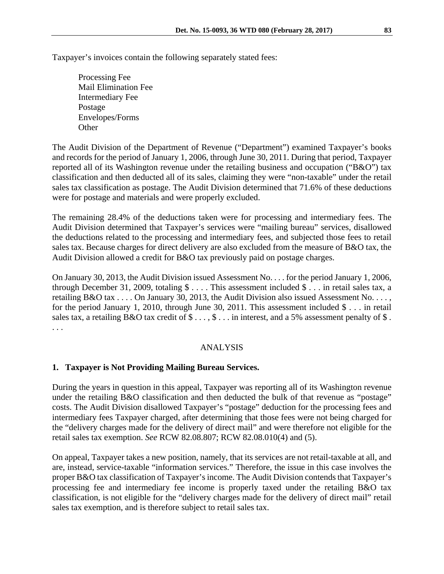Taxpayer's invoices contain the following separately stated fees:

 Processing Fee Mail Elimination Fee Intermediary Fee Postage Envelopes/Forms **Other** 

The Audit Division of the Department of Revenue ("Department") examined Taxpayer's books and records for the period of January 1, 2006, through June 30, 2011. During that period, Taxpayer reported all of its Washington revenue under the retailing business and occupation ("B&O") tax classification and then deducted all of its sales, claiming they were "non-taxable" under the retail sales tax classification as postage. The Audit Division determined that 71.6% of these deductions were for postage and materials and were properly excluded.

The remaining 28.4% of the deductions taken were for processing and intermediary fees. The Audit Division determined that Taxpayer's services were "mailing bureau" services, disallowed the deductions related to the processing and intermediary fees, and subjected those fees to retail sales tax. Because charges for direct delivery are also excluded from the measure of B&O tax, the Audit Division allowed a credit for B&O tax previously paid on postage charges.

On January 30, 2013, the Audit Division issued Assessment No. . . . for the period January 1, 2006, through December 31, 2009, totaling \$ . . . . This assessment included \$ . . . in retail sales tax, a retailing B&O tax . . . . On January 30, 2013, the Audit Division also issued Assessment No. . . . , for the period January 1, 2010, through June 30, 2011. This assessment included  $\frac{1}{2}$ ... in retail sales tax, a retailing B&O tax credit of  $\$\dots$ ,  $\$\dots$  in interest, and a 5% assessment penalty of  $\$$ . . . .

## ANALYSIS

## **1. Taxpayer is Not Providing Mailing Bureau Services.**

During the years in question in this appeal, Taxpayer was reporting all of its Washington revenue under the retailing B&O classification and then deducted the bulk of that revenue as "postage" costs. The Audit Division disallowed Taxpayer's "postage" deduction for the processing fees and intermediary fees Taxpayer charged, after determining that those fees were not being charged for the "delivery charges made for the delivery of direct mail" and were therefore not eligible for the retail sales tax exemption. *See* RCW 82.08.807; RCW 82.08.010(4) and (5).

On appeal, Taxpayer takes a new position, namely, that its services are not retail-taxable at all, and are, instead, service-taxable "information services." Therefore, the issue in this case involves the proper B&O tax classification of Taxpayer's income. The Audit Division contends that Taxpayer's processing fee and intermediary fee income is properly taxed under the retailing B&O tax classification, is not eligible for the "delivery charges made for the delivery of direct mail" retail sales tax exemption, and is therefore subject to retail sales tax.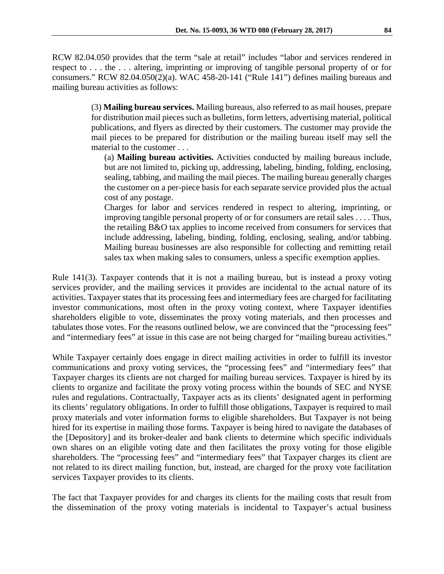RCW 82.04.050 provides that the term "sale at retail" includes "labor and services rendered in respect to . . . the . . . altering, imprinting or improving of tangible personal property of or for consumers." RCW 82.04.050(2)(a). WAC 458-20-141 ("Rule 141") defines mailing bureaus and mailing bureau activities as follows:

> (3) **Mailing bureau services.** Mailing bureaus, also referred to as mail houses, prepare for distribution mail pieces such as bulletins, form letters, advertising material, political publications, and flyers as directed by their customers. The customer may provide the mail pieces to be prepared for distribution or the mailing bureau itself may sell the material to the customer . . .

(a) **Mailing bureau activities.** Activities conducted by mailing bureaus include, but are not limited to, picking up, addressing, labeling, binding, folding, enclosing, sealing, tabbing, and mailing the mail pieces. The mailing bureau generally charges the customer on a per-piece basis for each separate service provided plus the actual cost of any postage.

Charges for labor and services rendered in respect to altering, imprinting, or improving tangible personal property of or for consumers are retail sales . . . . Thus, the retailing B&O tax applies to income received from consumers for services that include addressing, labeling, binding, folding, enclosing, sealing, and/or tabbing. Mailing bureau businesses are also responsible for collecting and remitting retail sales tax when making sales to consumers, unless a specific exemption applies.

Rule 141(3). Taxpayer contends that it is not a mailing bureau, but is instead a proxy voting services provider, and the mailing services it provides are incidental to the actual nature of its activities. Taxpayer states that its processing fees and intermediary fees are charged for facilitating investor communications, most often in the proxy voting context, where Taxpayer identifies shareholders eligible to vote, disseminates the proxy voting materials, and then processes and tabulates those votes. For the reasons outlined below, we are convinced that the "processing fees" and "intermediary fees" at issue in this case are not being charged for "mailing bureau activities."

While Taxpayer certainly does engage in direct mailing activities in order to fulfill its investor communications and proxy voting services, the "processing fees" and "intermediary fees" that Taxpayer charges its clients are not charged for mailing bureau services. Taxpayer is hired by its clients to organize and facilitate the proxy voting process within the bounds of SEC and NYSE rules and regulations. Contractually, Taxpayer acts as its clients' designated agent in performing its clients' regulatory obligations. In order to fulfill those obligations, Taxpayer is required to mail proxy materials and voter information forms to eligible shareholders. But Taxpayer is not being hired for its expertise in mailing those forms. Taxpayer is being hired to navigate the databases of the [Depository] and its broker-dealer and bank clients to determine which specific individuals own shares on an eligible voting date and then facilitates the proxy voting for those eligible shareholders. The "processing fees" and "intermediary fees" that Taxpayer charges its client are not related to its direct mailing function, but, instead, are charged for the proxy vote facilitation services Taxpayer provides to its clients.

The fact that Taxpayer provides for and charges its clients for the mailing costs that result from the dissemination of the proxy voting materials is incidental to Taxpayer's actual business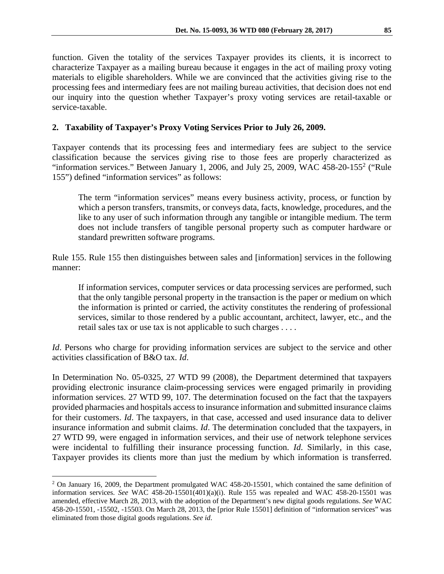function. Given the totality of the services Taxpayer provides its clients, it is incorrect to characterize Taxpayer as a mailing bureau because it engages in the act of mailing proxy voting materials to eligible shareholders. While we are convinced that the activities giving rise to the processing fees and intermediary fees are not mailing bureau activities, that decision does not end our inquiry into the question whether Taxpayer's proxy voting services are retail-taxable or service-taxable.

# **2. Taxability of Taxpayer's Proxy Voting Services Prior to July 26, 2009.**

Taxpayer contends that its processing fees and intermediary fees are subject to the service classification because the services giving rise to those fees are properly characterized as "information services." Between January 1, 2006, and July 25, 2009, WAC 458-20-155<sup>2</sup> ("Rule 155") defined "information services" as follows:

The term "information services" means every business activity, process, or function by which a person transfers, transmits, or conveys data, facts, knowledge, procedures, and the like to any user of such information through any tangible or intangible medium. The term does not include transfers of tangible personal property such as computer hardware or standard prewritten software programs.

Rule 155. Rule 155 then distinguishes between sales and [information] services in the following manner:

If information services, computer services or data processing services are performed, such that the only tangible personal property in the transaction is the paper or medium on which the information is printed or carried, the activity constitutes the rendering of professional services, similar to those rendered by a public accountant, architect, lawyer, etc., and the retail sales tax or use tax is not applicable to such charges . . . .

*Id*. Persons who charge for providing information services are subject to the service and other activities classification of B&O tax. *Id*.

In Determination No. 05-0325, 27 WTD 99 (2008), the Department determined that taxpayers providing electronic insurance claim-processing services were engaged primarily in providing information services. 27 WTD 99, 107. The determination focused on the fact that the taxpayers provided pharmacies and hospitals access to insurance information and submitted insurance claims for their customers. *Id*. The taxpayers, in that case, accessed and used insurance data to deliver insurance information and submit claims. *Id*. The determination concluded that the taxpayers, in 27 WTD 99, were engaged in information services, and their use of network telephone services were incidental to fulfilling their insurance processing function. *Id*. Similarly, in this case, Taxpayer provides its clients more than just the medium by which information is transferred.

 $\overline{a}$ 

<sup>&</sup>lt;sup>2</sup> On January 16, 2009, the Department promulgated WAC 458-20-15501, which contained the same definition of information services. *See* WAC 458-20-15501(401)(a)(i). Rule 155 was repealed and WAC 458-20-15501 was amended, effective March 28, 2013, with the adoption of the Department's new digital goods regulations. *See* WAC 458-20-15501, -15502, -15503. On March 28, 2013, the [prior Rule 15501] definition of "information services" was eliminated from those digital goods regulations. *See id*.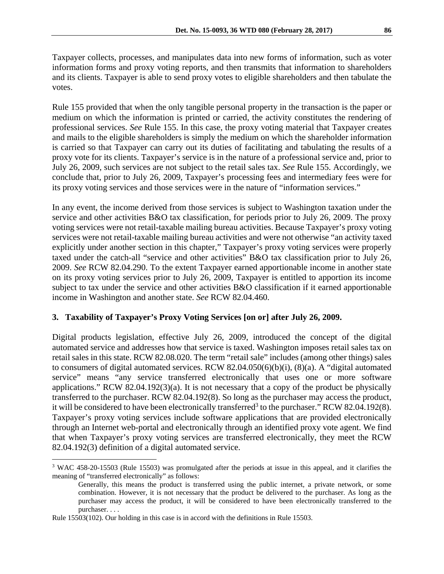Taxpayer collects, processes, and manipulates data into new forms of information, such as voter information forms and proxy voting reports, and then transmits that information to shareholders and its clients. Taxpayer is able to send proxy votes to eligible shareholders and then tabulate the votes.

Rule 155 provided that when the only tangible personal property in the transaction is the paper or medium on which the information is printed or carried, the activity constitutes the rendering of professional services. *See* Rule 155. In this case, the proxy voting material that Taxpayer creates and mails to the eligible shareholders is simply the medium on which the shareholder information is carried so that Taxpayer can carry out its duties of facilitating and tabulating the results of a proxy vote for its clients. Taxpayer's service is in the nature of a professional service and, prior to July 26, 2009, such services are not subject to the retail sales tax. *See* Rule 155. Accordingly, we conclude that, prior to July 26, 2009, Taxpayer's processing fees and intermediary fees were for its proxy voting services and those services were in the nature of "information services."

In any event, the income derived from those services is subject to Washington taxation under the service and other activities B&O tax classification, for periods prior to July 26, 2009. The proxy voting services were not retail-taxable mailing bureau activities. Because Taxpayer's proxy voting services were not retail-taxable mailing bureau activities and were not otherwise "an activity taxed explicitly under another section in this chapter," Taxpayer's proxy voting services were properly taxed under the catch-all "service and other activities" B&O tax classification prior to July 26, 2009. *See* RCW 82.04.290. To the extent Taxpayer earned apportionable income in another state on its proxy voting services prior to July 26, 2009, Taxpayer is entitled to apportion its income subject to tax under the service and other activities B&O classification if it earned apportionable income in Washington and another state. *See* RCW 82.04.460.

## **3. Taxability of Taxpayer's Proxy Voting Services [on or] after July 26, 2009.**

Digital products legislation, effective July 26, 2009, introduced the concept of the digital automated service and addresses how that service is taxed. Washington imposes retail sales tax on retail sales in this state. RCW 82.08.020. The term "retail sale" includes (among other things) sales to consumers of digital automated services. RCW 82.04.050(6)(b)(i), (8)(a). A "digital automated service" means "any service transferred electronically that uses one or more software applications." RCW 82.04.192(3)(a). It is not necessary that a copy of the product be physically transferred to the purchaser. RCW 82.04.192(8). So long as the purchaser may access the product, it will be considered to have been electronically transferred<sup>3</sup> to the purchaser." RCW 82.04.192(8). Taxpayer's proxy voting services include software applications that are provided electronically through an Internet web-portal and electronically through an identified proxy vote agent. We find that when Taxpayer's proxy voting services are transferred electronically, they meet the RCW 82.04.192(3) definition of a digital automated service.

 $\overline{a}$ <sup>3</sup> WAC 458-20-15503 (Rule 15503) was promulgated after the periods at issue in this appeal, and it clarifies the meaning of "transferred electronically" as follows:

Generally, this means the product is transferred using the public internet, a private network, or some combination. However, it is not necessary that the product be delivered to the purchaser. As long as the purchaser may access the product, it will be considered to have been electronically transferred to the purchaser. . . .

Rule 15503(102). Our holding in this case is in accord with the definitions in Rule 15503.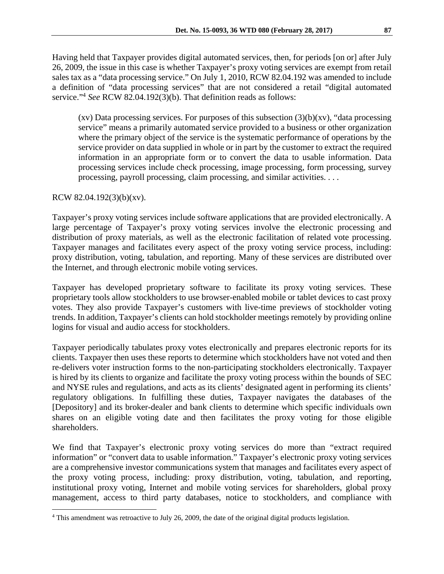Having held that Taxpayer provides digital automated services, then, for periods [on or] after July 26, 2009, the issue in this case is whether Taxpayer's proxy voting services are exempt from retail sales tax as a "data processing service." On July 1, 2010, RCW 82.04.192 was amended to include a definition of "data processing services" that are not considered a retail "digital automated service."4 *See* RCW 82.04.192(3)(b). That definition reads as follows:

 $(xv)$  Data processing services. For purposes of this subsection  $(3)(b)(xv)$ , "data processing service" means a primarily automated service provided to a business or other organization where the primary object of the service is the systematic performance of operations by the service provider on data supplied in whole or in part by the customer to extract the required information in an appropriate form or to convert the data to usable information. Data processing services include check processing, image processing, form processing, survey processing, payroll processing, claim processing, and similar activities. . . .

RCW 82.04.192(3)(b)(xv).

<u>.</u>

Taxpayer's proxy voting services include software applications that are provided electronically. A large percentage of Taxpayer's proxy voting services involve the electronic processing and distribution of proxy materials, as well as the electronic facilitation of related vote processing. Taxpayer manages and facilitates every aspect of the proxy voting service process, including: proxy distribution, voting, tabulation, and reporting. Many of these services are distributed over the Internet, and through electronic mobile voting services.

Taxpayer has developed proprietary software to facilitate its proxy voting services. These proprietary tools allow stockholders to use browser-enabled mobile or tablet devices to cast proxy votes. They also provide Taxpayer's customers with live-time previews of stockholder voting trends. In addition, Taxpayer's clients can hold stockholder meetings remotely by providing online logins for visual and audio access for stockholders.

Taxpayer periodically tabulates proxy votes electronically and prepares electronic reports for its clients. Taxpayer then uses these reports to determine which stockholders have not voted and then re-delivers voter instruction forms to the non-participating stockholders electronically. Taxpayer is hired by its clients to organize and facilitate the proxy voting process within the bounds of SEC and NYSE rules and regulations, and acts as its clients' designated agent in performing its clients' regulatory obligations. In fulfilling these duties, Taxpayer navigates the databases of the [Depository] and its broker-dealer and bank clients to determine which specific individuals own shares on an eligible voting date and then facilitates the proxy voting for those eligible shareholders.

We find that Taxpayer's electronic proxy voting services do more than "extract required information" or "convert data to usable information." Taxpayer's electronic proxy voting services are a comprehensive investor communications system that manages and facilitates every aspect of the proxy voting process, including: proxy distribution, voting, tabulation, and reporting, institutional proxy voting, Internet and mobile voting services for shareholders, global proxy management, access to third party databases, notice to stockholders, and compliance with

<sup>&</sup>lt;sup>4</sup> This amendment was retroactive to July 26, 2009, the date of the original digital products legislation.